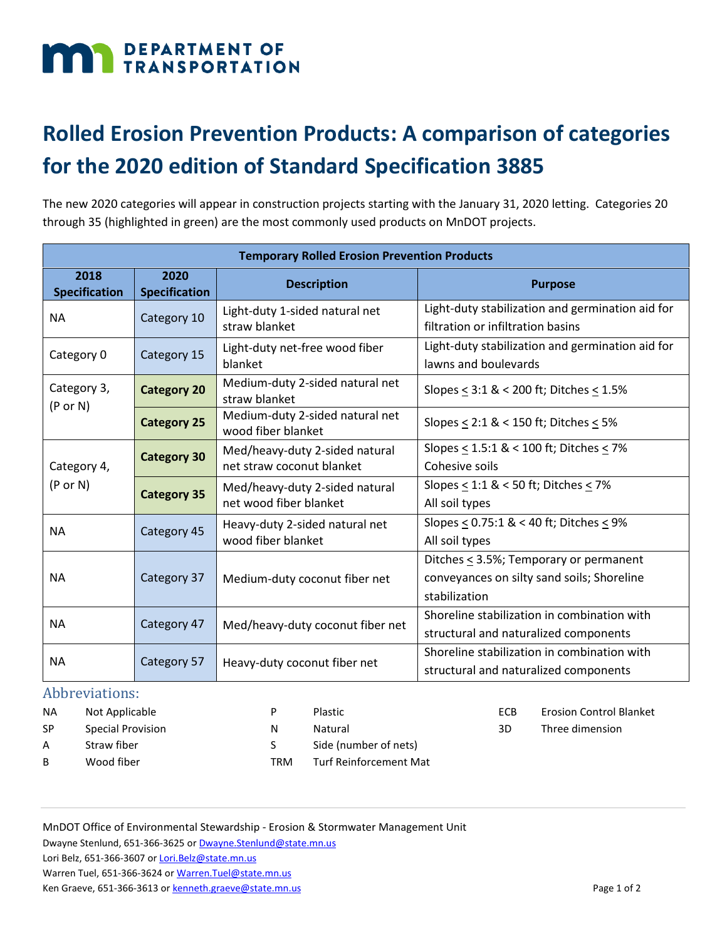## DEPARTMENT OF TRANSPORTATION

## **Rolled Erosion Prevention Products: A comparison of categories for the 2020 edition of Standard Specification 3885**

The new 2020 categories will appear in construction projects starting with the January 31, 2020 letting. Categories 20 through 35 (highlighted in green) are the most commonly used products on MnDOT projects.

| <b>Temporary Rolled Erosion Prevention Products</b> |                              |                                                             |                                                                                                            |  |  |  |  |
|-----------------------------------------------------|------------------------------|-------------------------------------------------------------|------------------------------------------------------------------------------------------------------------|--|--|--|--|
| 2018<br><b>Specification</b>                        | 2020<br><b>Specification</b> | <b>Description</b>                                          | <b>Purpose</b>                                                                                             |  |  |  |  |
| <b>NA</b>                                           | Category 10                  | Light-duty 1-sided natural net<br>straw blanket             | Light-duty stabilization and germination aid for<br>filtration or infiltration basins                      |  |  |  |  |
| Category 0                                          | Category 15                  | Light-duty net-free wood fiber<br>blanket                   | Light-duty stabilization and germination aid for<br>lawns and boulevards                                   |  |  |  |  |
| Category 3,<br>$(P \text{ or } N)$                  | <b>Category 20</b>           | Medium-duty 2-sided natural net<br>straw blanket            | Slopes $\leq$ 3:1 & < 200 ft; Ditches $\leq$ 1.5%                                                          |  |  |  |  |
|                                                     | <b>Category 25</b>           | Medium-duty 2-sided natural net<br>wood fiber blanket       | Slopes $\leq$ 2:1 & < 150 ft; Ditches $\leq$ 5%                                                            |  |  |  |  |
| Category 4,<br>$(P \text{ or } N)$                  | <b>Category 30</b>           | Med/heavy-duty 2-sided natural<br>net straw coconut blanket | Slopes $\leq$ 1.5:1 & < 100 ft; Ditches $\leq$ 7%<br>Cohesive soils                                        |  |  |  |  |
|                                                     | <b>Category 35</b>           | Med/heavy-duty 2-sided natural<br>net wood fiber blanket    | Slopes $\leq$ 1:1 & < 50 ft; Ditches $\leq$ 7%<br>All soil types                                           |  |  |  |  |
| <b>NA</b>                                           | Category 45                  | Heavy-duty 2-sided natural net<br>wood fiber blanket        | Slopes $\leq$ 0.75:1 & < 40 ft; Ditches $\leq$ 9%<br>All soil types                                        |  |  |  |  |
| <b>NA</b>                                           | Category 37                  | Medium-duty coconut fiber net                               | Ditches $\leq$ 3.5%; Temporary or permanent<br>conveyances on silty sand soils; Shoreline<br>stabilization |  |  |  |  |
| <b>NA</b>                                           | Category 47                  | Med/heavy-duty coconut fiber net                            | Shoreline stabilization in combination with<br>structural and naturalized components                       |  |  |  |  |
| <b>NA</b>                                           | Category 57                  | Heavy-duty coconut fiber net                                | Shoreline stabilization in combination with<br>structural and naturalized components                       |  |  |  |  |

## Abbreviations:<br>NA Not Applica

Not Applicable SP Special Provision P Plastic

- A Straw fiber
- B Wood fiber

N Natural

- S Side (number of nets)
- TRM Turf Reinforcement Mat

MnDOT Office of Environmental Stewardship - Erosion & Stormwater Management Unit

Dwayne Stenlund, 651-366-3625 o[r Dwayne.Stenlund@state.mn.us](mailto:Dwayne.Stenlund@state.mn.us)

Lori Belz, 651-366-3607 o[r Lori.Belz@state.mn.us](mailto:Lori.Belz@state.mn.us)

Ken Graeve, 651-366-3613 o[r kenneth.graeve@state.mn.us](mailto:kenneth.graeve@state.mn.us) **Page 1 of 2** and 2 and 2 and 2 and 2 and 2 and 2 and 2 and 2 and 2 and 2 and 2 and 2 and 2 and 2 and 2 and 2 and 2 and 2 and 2 and 2 and 2 and 2 and 2 and 2 and 2 and

ECB Erosion Control Blanket 3D Three dimension

Warren Tuel, 651-366-3624 or [Warren.Tuel@state.mn.us](mailto:Warren.Tuel@state.mn.us)